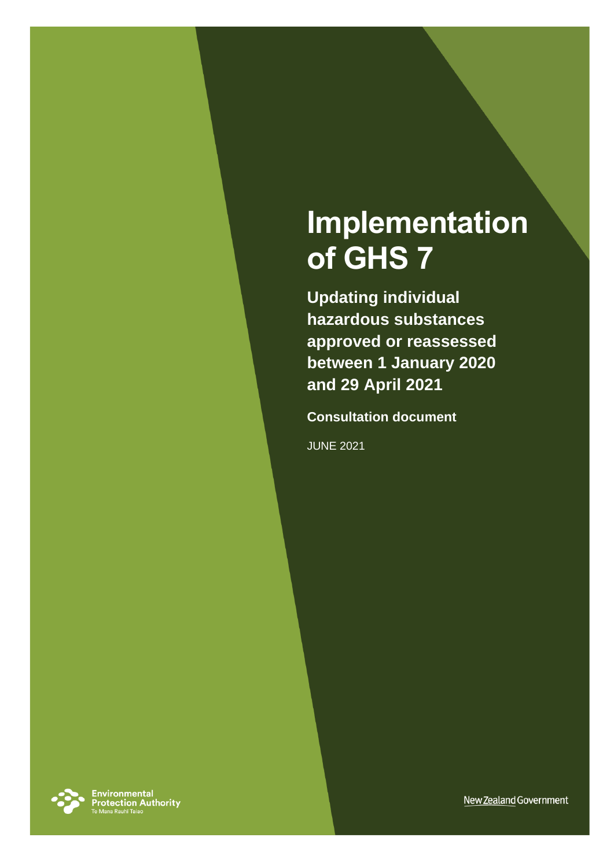# **Implementation of GHS 7**

**Updating individual hazardous substances approved or reassessed between 1 January 2020 and 29 April 2021** 

**Consultation document**

JUNE 2021



**Environmental<br>Protection Authority**<br>Te Mana Rauhī Taiao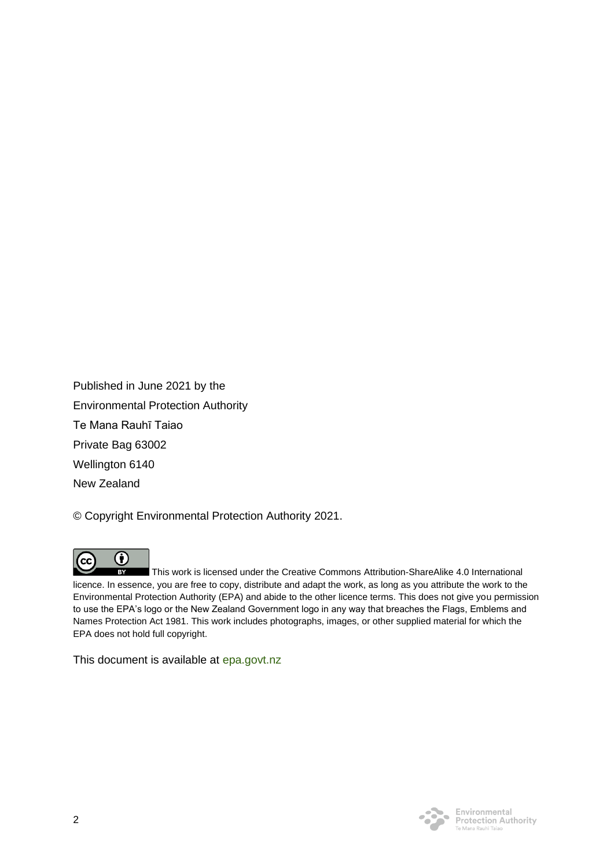Published in June 2021 by the Environmental Protection Authority Te Mana Rauhī Taiao Private Bag 63002 Wellington 6140 New Zealand

© Copyright Environmental Protection Authority 2021.



This work is licensed under the Creative Commons Attribution-ShareAlike 4.0 International licence. In essence, you are free to copy, distribute and adapt the work, as long as you attribute the work to the Environmental Protection Authority (EPA) and abide to the other licence terms. This does not give you permission to use the EPA's logo or the New Zealand Government logo in any way that breaches the Flags, Emblems and Names Protection Act 1981. This work includes photographs, images, or other supplied material for which the EPA does not hold full copyright.

This document is available at [epa.govt.nz](http://www.epa.govt.nz/)

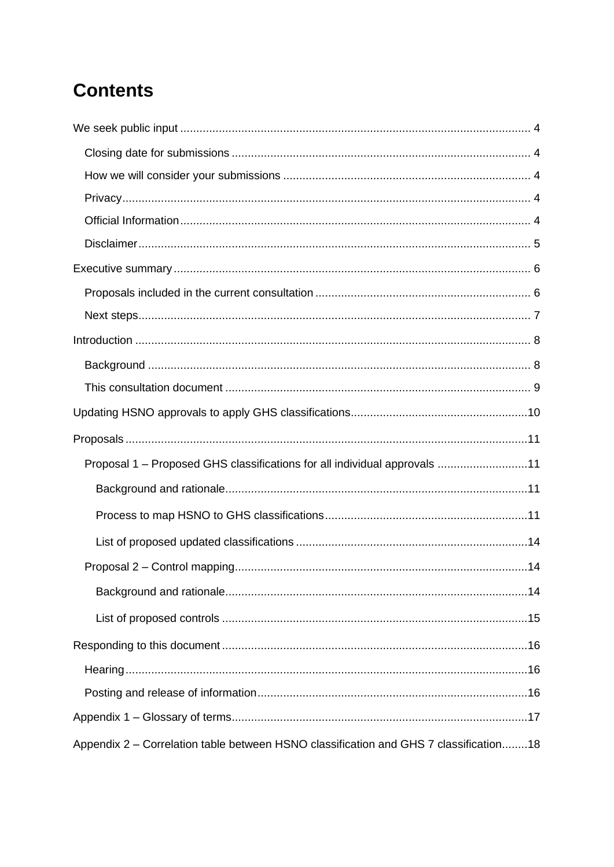## **Contents**

| Proposal 1 - Proposed GHS classifications for all individual approvals 11             |  |
|---------------------------------------------------------------------------------------|--|
|                                                                                       |  |
|                                                                                       |  |
|                                                                                       |  |
|                                                                                       |  |
|                                                                                       |  |
|                                                                                       |  |
|                                                                                       |  |
|                                                                                       |  |
|                                                                                       |  |
|                                                                                       |  |
| Appendix 2 – Correlation table between HSNO classification and GHS 7 classification18 |  |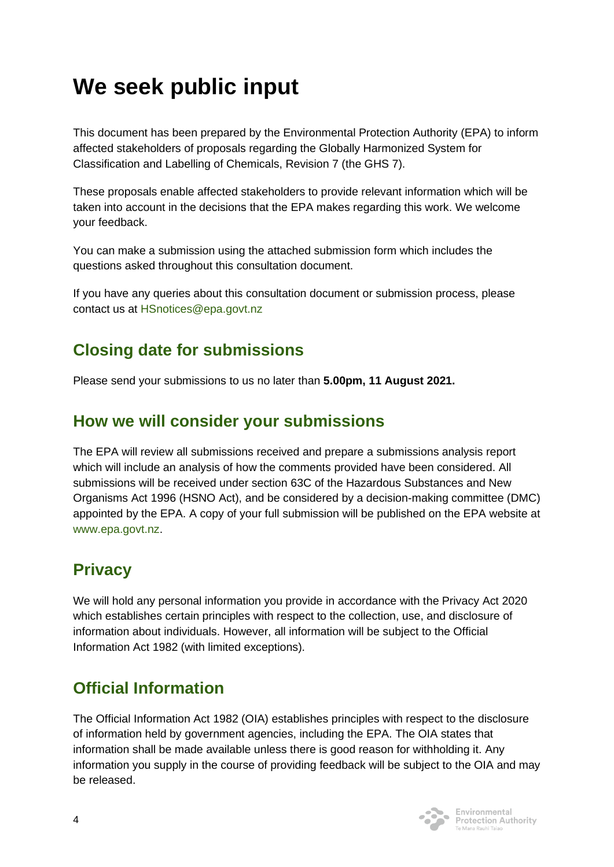## <span id="page-3-0"></span>**We seek public input**

This document has been prepared by the Environmental Protection Authority (EPA) to inform affected stakeholders of proposals regarding the Globally Harmonized System for Classification and Labelling of Chemicals, Revision 7 (the GHS 7).

These proposals enable affected stakeholders to provide relevant information which will be taken into account in the decisions that the EPA makes regarding this work. We welcome your feedback.

You can make a submission using the attached submission form which includes the questions asked throughout this consultation document.

If you have any queries about this consultation document or submission process, please contact us at [HSnotices@epa.govt.nz](mailto:HSnotices@epa.govt.nz)

## <span id="page-3-1"></span>**Closing date for submissions**

Please send your submissions to us no later than **5.00pm, 11 August 2021.**

## <span id="page-3-2"></span>**How we will consider your submissions**

The EPA will review all submissions received and prepare a submissions analysis report which will include an analysis of how the comments provided have been considered. All submissions will be received under section 63C of the Hazardous Substances and New Organisms Act 1996 (HSNO Act), and be considered by a decision-making committee (DMC) appointed by the EPA. A copy of your full submission will be published on the EPA website at [www.epa.govt.nz.](http://www.epa.govt.nz/)

## <span id="page-3-3"></span>**Privacy**

We will hold any personal information you provide in accordance with the Privacy Act 2020 which establishes certain principles with respect to the collection, use, and disclosure of information about individuals. However, all information will be subject to the Official Information Act 1982 (with limited exceptions).

## <span id="page-3-4"></span>**Official Information**

The Official Information Act 1982 (OIA) establishes principles with respect to the disclosure of information held by government agencies, including the EPA. The OIA states that information shall be made available unless there is good reason for withholding it. Any information you supply in the course of providing feedback will be subject to the OIA and may be released.



Protection Authority Te Mana Rauhī Tajac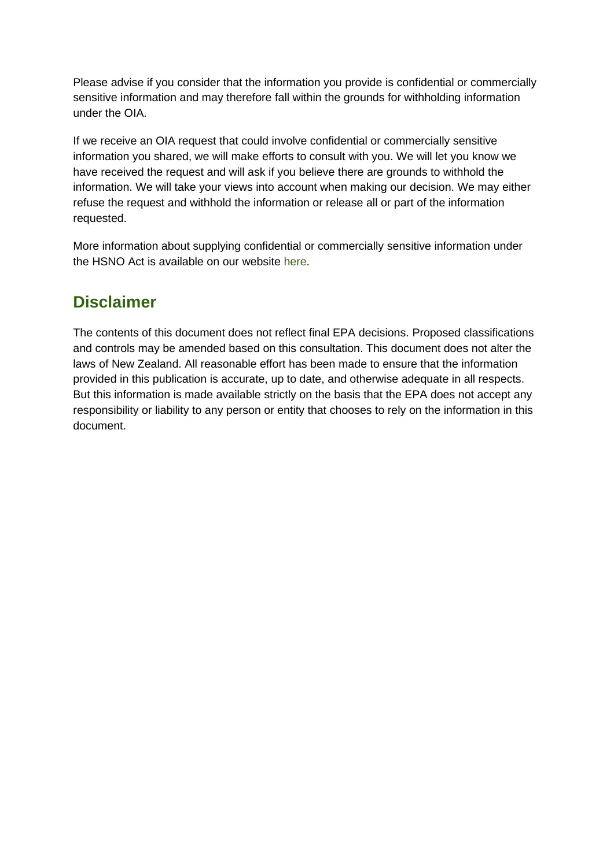Please advise if you consider that the information you provide is confidential or commercially sensitive information and may therefore fall within the grounds for withholding information under the OIA.

If we receive an OIA request that could involve confidential or commercially sensitive information you shared, we will make efforts to consult with you. We will let you know we have received the request and will ask if you believe there are grounds to withhold the information. We will take your views into account when making our decision. We may either refuse the request and withhold the information or release all or part of the information requested.

More information about supplying confidential or commercially sensitive information under the HSNO Act is available on our website [here.](https://www.epa.govt.nz/assets/Uploads/Documents/Hazardous-Substances/Guidance/Supplying-confidential-information-to-the-EPA-your-rights-and-our-obligations-v2.pdf)

## <span id="page-4-0"></span>**Disclaimer**

The contents of this document does not reflect final EPA decisions. Proposed classifications and controls may be amended based on this consultation. This document does not alter the laws of New Zealand. All reasonable effort has been made to ensure that the information provided in this publication is accurate, up to date, and otherwise adequate in all respects. But this information is made available strictly on the basis that the EPA does not accept any responsibility or liability to any person or entity that chooses to rely on the information in this document.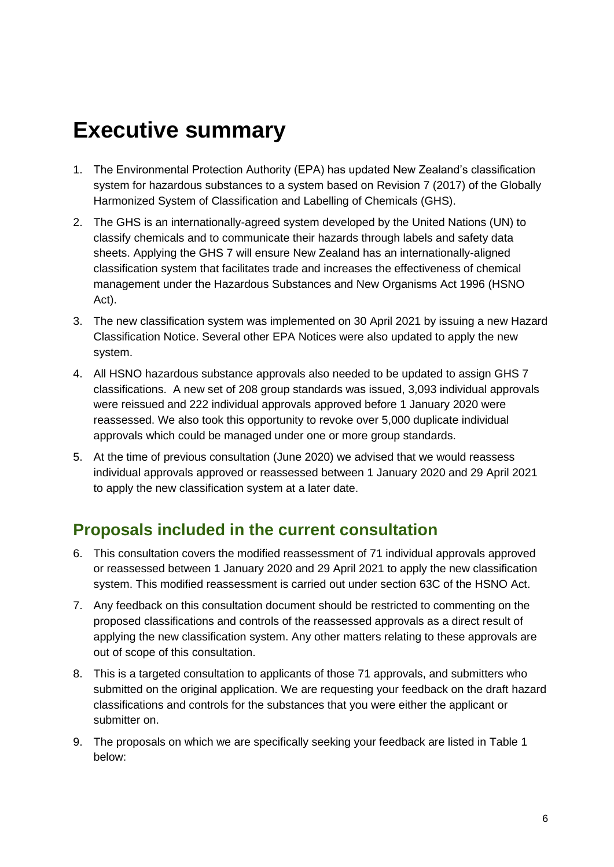## <span id="page-5-0"></span>**Executive summary**

- 1. The Environmental Protection Authority (EPA) has updated New Zealand's classification system for hazardous substances to a system based on Revision 7 (2017) of the Globally Harmonized System of Classification and Labelling of Chemicals (GHS).
- 2. The GHS is an internationally-agreed system developed by the United Nations (UN) to classify chemicals and to communicate their hazards through labels and safety data sheets. Applying the GHS 7 will ensure New Zealand has an internationally-aligned classification system that facilitates trade and increases the effectiveness of chemical management under the Hazardous Substances and New Organisms Act 1996 (HSNO Act).
- 3. The new classification system was implemented on 30 April 2021 by issuing a new Hazard Classification Notice. Several other EPA Notices were also updated to apply the new system.
- 4. All HSNO hazardous substance approvals also needed to be updated to assign GHS 7 classifications. A new set of 208 group standards was issued, 3,093 individual approvals were reissued and 222 individual approvals approved before 1 January 2020 were reassessed. We also took this opportunity to revoke over 5,000 duplicate individual approvals which could be managed under one or more group standards.
- 5. At the time of previous consultation (June 2020) we advised that we would reassess individual approvals approved or reassessed between 1 January 2020 and 29 April 2021 to apply the new classification system at a later date.

## <span id="page-5-1"></span>**Proposals included in the current consultation**

- 6. This consultation covers the modified reassessment of 71 individual approvals approved or reassessed between 1 January 2020 and 29 April 2021 to apply the new classification system. This modified reassessment is carried out under section 63C of the HSNO Act.
- 7. Any feedback on this consultation document should be restricted to commenting on the proposed classifications and controls of the reassessed approvals as a direct result of applying the new classification system. Any other matters relating to these approvals are out of scope of this consultation.
- 8. This is a targeted consultation to applicants of those 71 approvals, and submitters who submitted on the original application. We are requesting your feedback on the draft hazard classifications and controls for the substances that you were either the applicant or submitter on.
- 9. The proposals on which we are specifically seeking your feedback are listed in Table 1 below: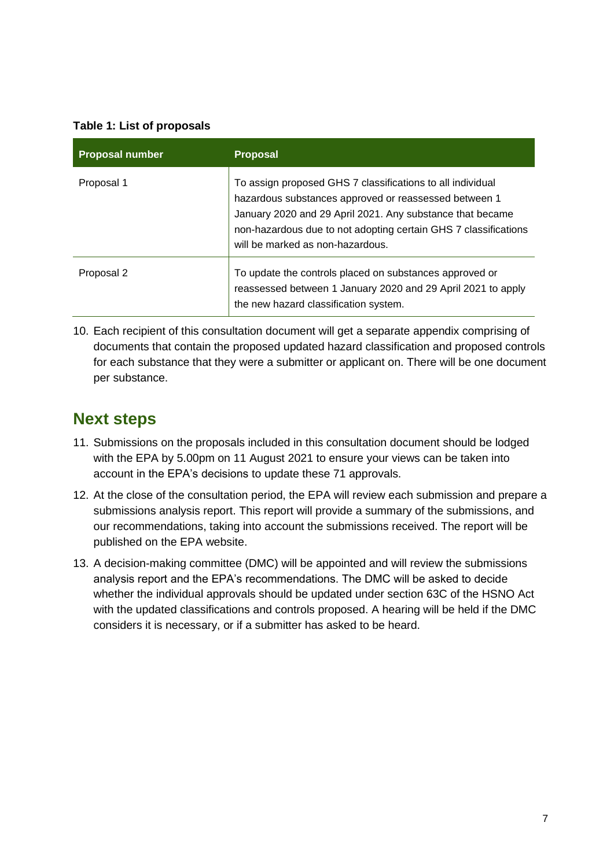#### **Table 1: List of proposals**

| <b>Proposal number</b> | <b>Proposal</b>                                                                                                                                                                                                                                                                         |
|------------------------|-----------------------------------------------------------------------------------------------------------------------------------------------------------------------------------------------------------------------------------------------------------------------------------------|
| Proposal 1             | To assign proposed GHS 7 classifications to all individual<br>hazardous substances approved or reassessed between 1<br>January 2020 and 29 April 2021. Any substance that became<br>non-hazardous due to not adopting certain GHS 7 classifications<br>will be marked as non-hazardous. |
| Proposal 2             | To update the controls placed on substances approved or<br>reassessed between 1 January 2020 and 29 April 2021 to apply<br>the new hazard classification system.                                                                                                                        |

10. Each recipient of this consultation document will get a separate appendix comprising of documents that contain the proposed updated hazard classification and proposed controls for each substance that they were a submitter or applicant on. There will be one document per substance.

### <span id="page-6-0"></span>**Next steps**

- 11. Submissions on the proposals included in this consultation document should be lodged with the EPA by 5.00pm on 11 August 2021 to ensure your views can be taken into account in the EPA's decisions to update these 71 approvals.
- 12. At the close of the consultation period, the EPA will review each submission and prepare a submissions analysis report. This report will provide a summary of the submissions, and our recommendations, taking into account the submissions received. The report will be published on the EPA website.
- 13. A decision-making committee (DMC) will be appointed and will review the submissions analysis report and the EPA's recommendations. The DMC will be asked to decide whether the individual approvals should be updated under section 63C of the HSNO Act with the updated classifications and controls proposed. A hearing will be held if the DMC considers it is necessary, or if a submitter has asked to be heard.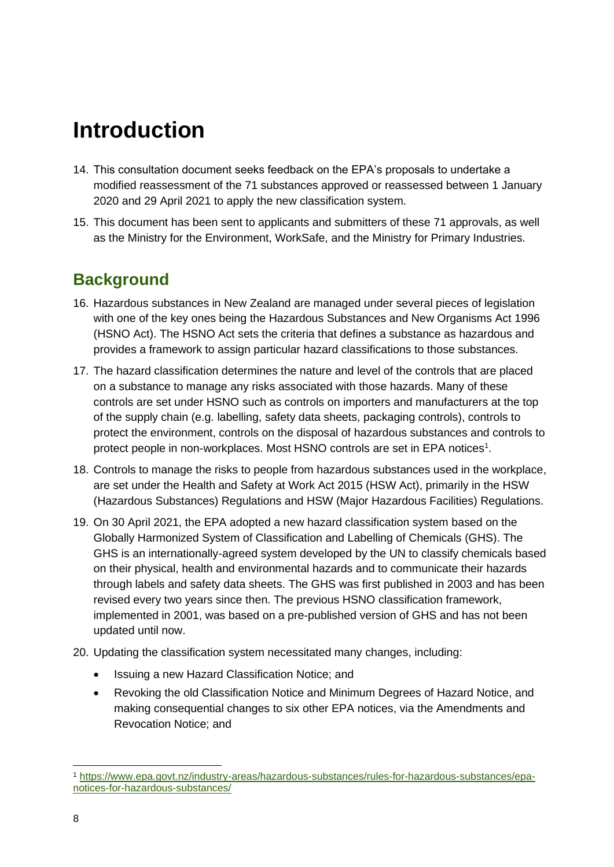## <span id="page-7-0"></span>**Introduction**

- 14. This consultation document seeks feedback on the EPA's proposals to undertake a modified reassessment of the 71 substances approved or reassessed between 1 January 2020 and 29 April 2021 to apply the new classification system.
- 15. This document has been sent to applicants and submitters of these 71 approvals, as well as the Ministry for the Environment, WorkSafe, and the Ministry for Primary Industries.

## <span id="page-7-1"></span>**Background**

- 16. Hazardous substances in New Zealand are managed under several pieces of legislation with one of the key ones being the Hazardous Substances and New Organisms Act 1996 (HSNO Act). The HSNO Act sets the criteria that defines a substance as hazardous and provides a framework to assign particular hazard classifications to those substances.
- 17. The hazard classification determines the nature and level of the controls that are placed on a substance to manage any risks associated with those hazards. Many of these controls are set under HSNO such as controls on importers and manufacturers at the top of the supply chain (e.g. labelling, safety data sheets, packaging controls), controls to protect the environment, controls on the disposal of hazardous substances and controls to protect people in non-workplaces. Most HSNO controls are set in EPA notices<sup>1</sup>.
- 18. Controls to manage the risks to people from hazardous substances used in the workplace, are set under the Health and Safety at Work Act 2015 (HSW Act), primarily in the HSW (Hazardous Substances) Regulations and HSW (Major Hazardous Facilities) Regulations.
- 19. On 30 April 2021, the EPA adopted a new hazard classification system based on the Globally Harmonized System of Classification and Labelling of Chemicals (GHS). The GHS is an internationally-agreed system developed by the UN to classify chemicals based on their physical, health and environmental hazards and to communicate their hazards through labels and safety data sheets. The GHS was first published in 2003 and has been revised every two years since then. The previous HSNO classification framework, implemented in 2001, was based on a pre-published version of GHS and has not been updated until now.
- 20. Updating the classification system necessitated many changes, including:
	- Issuing a new Hazard Classification Notice; and
	- Revoking the old Classification Notice and Minimum Degrees of Hazard Notice, and making consequential changes to six other EPA notices, via the Amendments and Revocation Notice; and

<sup>1</sup> [https://www.epa.govt.nz/industry-areas/hazardous-substances/rules-for-hazardous-substances/epa](https://www.epa.govt.nz/industry-areas/hazardous-substances/rules-for-hazardous-substances/epa-notices-for-hazardous-substances/)[notices-for-hazardous-substances/](https://www.epa.govt.nz/industry-areas/hazardous-substances/rules-for-hazardous-substances/epa-notices-for-hazardous-substances/)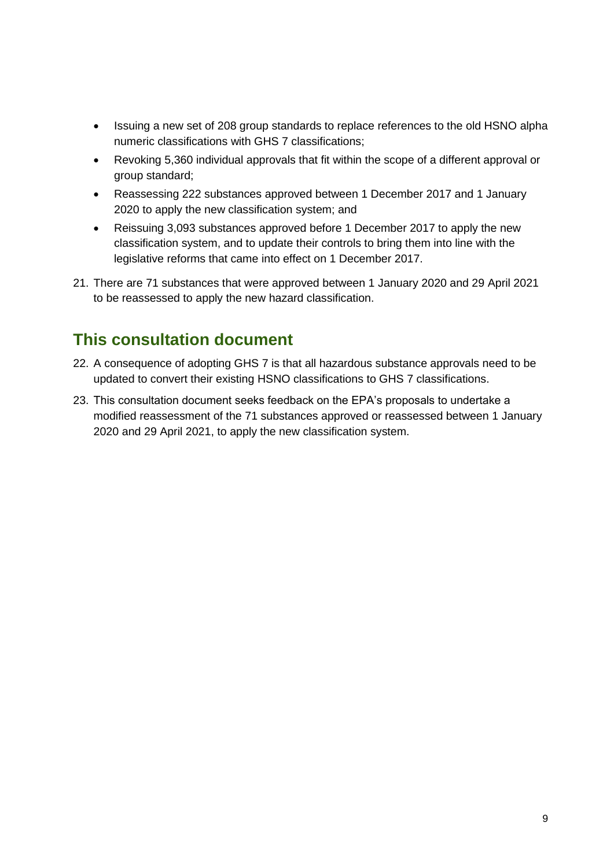- Issuing a new set of 208 group standards to replace references to the old HSNO alpha numeric classifications with GHS 7 classifications;
- Revoking 5,360 individual approvals that fit within the scope of a different approval or group standard;
- Reassessing 222 substances approved between 1 December 2017 and 1 January 2020 to apply the new classification system; and
- Reissuing 3,093 substances approved before 1 December 2017 to apply the new classification system, and to update their controls to bring them into line with the legislative reforms that came into effect on 1 December 2017.
- 21. There are 71 substances that were approved between 1 January 2020 and 29 April 2021 to be reassessed to apply the new hazard classification.

## <span id="page-8-0"></span>**This consultation document**

- 22. A consequence of adopting GHS 7 is that all hazardous substance approvals need to be updated to convert their existing HSNO classifications to GHS 7 classifications.
- 23. This consultation document seeks feedback on the EPA's proposals to undertake a modified reassessment of the 71 substances approved or reassessed between 1 January 2020 and 29 April 2021, to apply the new classification system.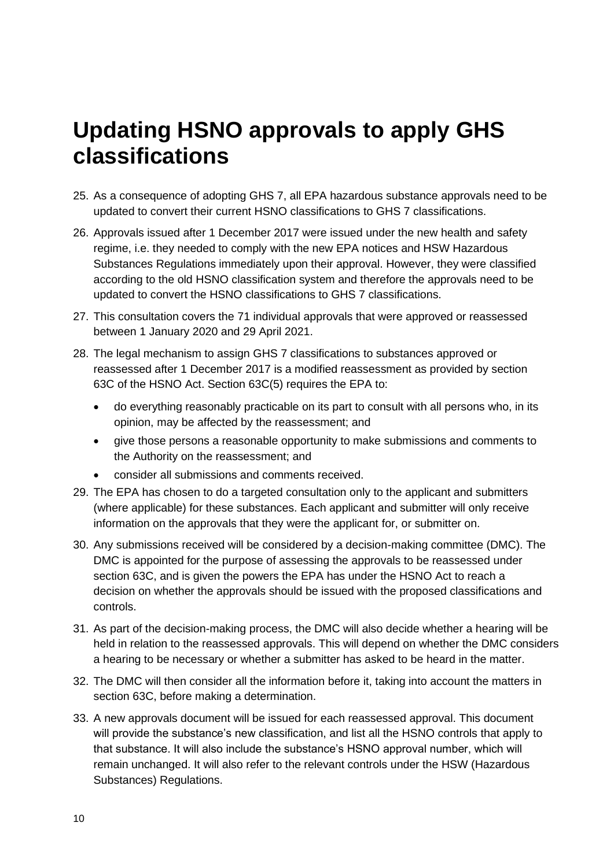## <span id="page-9-0"></span>**Updating HSNO approvals to apply GHS classifications**

- 25. As a consequence of adopting GHS 7, all EPA hazardous substance approvals need to be updated to convert their current HSNO classifications to GHS 7 classifications.
- 26. Approvals issued after 1 December 2017 were issued under the new health and safety regime, i.e. they needed to comply with the new EPA notices and HSW Hazardous Substances Regulations immediately upon their approval. However, they were classified according to the old HSNO classification system and therefore the approvals need to be updated to convert the HSNO classifications to GHS 7 classifications.
- 27. This consultation covers the 71 individual approvals that were approved or reassessed between 1 January 2020 and 29 April 2021.
- 28. The legal mechanism to assign GHS 7 classifications to substances approved or reassessed after 1 December 2017 is a modified reassessment as provided by section 63C of the HSNO Act. Section 63C(5) requires the EPA to:
	- do everything reasonably practicable on its part to consult with all persons who, in its opinion, may be affected by the reassessment; and
	- give those persons a reasonable opportunity to make submissions and comments to the Authority on the reassessment; and
	- consider all submissions and comments received.
- 29. The EPA has chosen to do a targeted consultation only to the applicant and submitters (where applicable) for these substances. Each applicant and submitter will only receive information on the approvals that they were the applicant for, or submitter on.
- 30. Any submissions received will be considered by a decision-making committee (DMC). The DMC is appointed for the purpose of assessing the approvals to be reassessed under section 63C, and is given the powers the EPA has under the HSNO Act to reach a decision on whether the approvals should be issued with the proposed classifications and controls.
- 31. As part of the decision-making process, the DMC will also decide whether a hearing will be held in relation to the reassessed approvals. This will depend on whether the DMC considers a hearing to be necessary or whether a submitter has asked to be heard in the matter.
- 32. The DMC will then consider all the information before it, taking into account the matters in section 63C, before making a determination.
- 33. A new approvals document will be issued for each reassessed approval. This document will provide the substance's new classification, and list all the HSNO controls that apply to that substance. It will also include the substance's HSNO approval number, which will remain unchanged. It will also refer to the relevant controls under the HSW (Hazardous Substances) Regulations.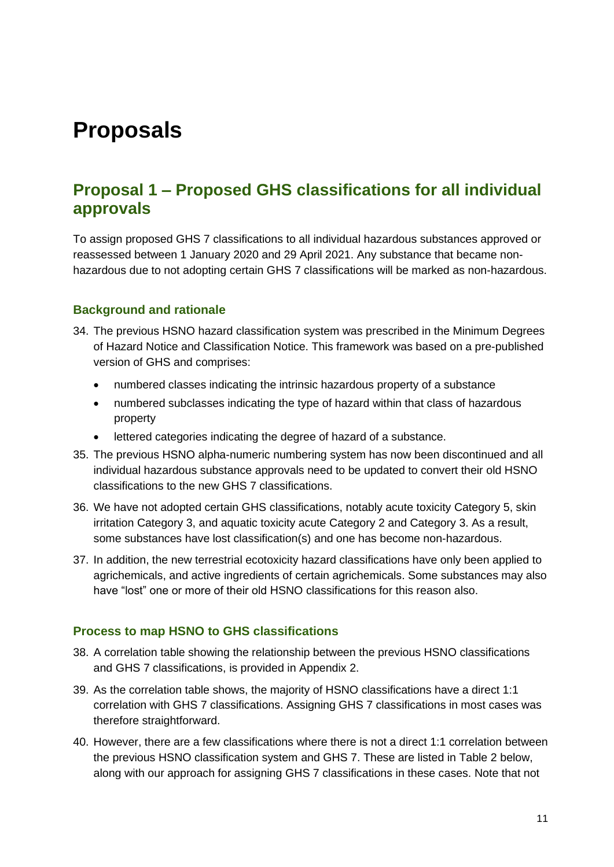## <span id="page-10-0"></span>**Proposals**

### <span id="page-10-1"></span>**Proposal 1 – Proposed GHS classifications for all individual approvals**

To assign proposed GHS 7 classifications to all individual hazardous substances approved or reassessed between 1 January 2020 and 29 April 2021. Any substance that became nonhazardous due to not adopting certain GHS 7 classifications will be marked as non-hazardous.

#### <span id="page-10-2"></span>**Background and rationale**

- 34. The previous HSNO hazard classification system was prescribed in the Minimum Degrees of Hazard Notice and Classification Notice. This framework was based on a pre-published version of GHS and comprises:
	- numbered classes indicating the intrinsic hazardous property of a substance
	- numbered subclasses indicating the type of hazard within that class of hazardous property
	- lettered categories indicating the degree of hazard of a substance.
- 35. The previous HSNO alpha-numeric numbering system has now been discontinued and all individual hazardous substance approvals need to be updated to convert their old HSNO classifications to the new GHS 7 classifications.
- 36. We have not adopted certain GHS classifications, notably acute toxicity Category 5, skin irritation Category 3, and aquatic toxicity acute Category 2 and Category 3. As a result, some substances have lost classification(s) and one has become non-hazardous.
- 37. In addition, the new terrestrial ecotoxicity hazard classifications have only been applied to agrichemicals, and active ingredients of certain agrichemicals. Some substances may also have "lost" one or more of their old HSNO classifications for this reason also.

#### <span id="page-10-3"></span>**Process to map HSNO to GHS classifications**

- 38. A correlation table showing the relationship between the previous HSNO classifications and GHS 7 classifications, is provided in Appendix 2.
- 39. As the correlation table shows, the majority of HSNO classifications have a direct 1:1 correlation with GHS 7 classifications. Assigning GHS 7 classifications in most cases was therefore straightforward.
- 40. However, there are a few classifications where there is not a direct 1:1 correlation between the previous HSNO classification system and GHS 7. These are listed in Table 2 below, along with our approach for assigning GHS 7 classifications in these cases. Note that not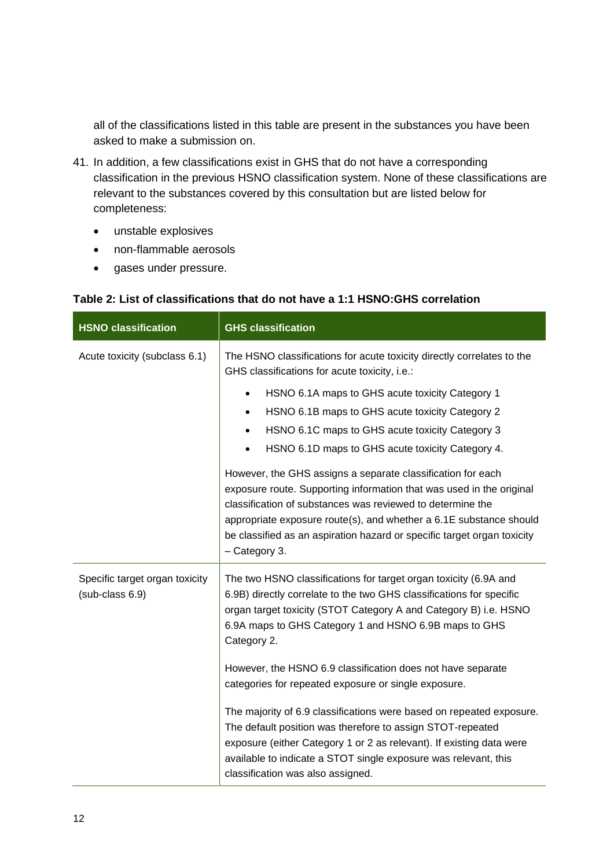all of the classifications listed in this table are present in the substances you have been asked to make a submission on.

- 41. In addition, a few classifications exist in GHS that do not have a corresponding classification in the previous HSNO classification system. None of these classifications are relevant to the substances covered by this consultation but are listed below for completeness:
	- unstable explosives
	- non-flammable aerosols
	- gases under pressure.

| <b>HSNO classification</b>                        | <b>GHS classification</b>                                                                                                                                                                                                                                                                                                                                                                                                                                                                                                                                                                                                                                                                                                         |
|---------------------------------------------------|-----------------------------------------------------------------------------------------------------------------------------------------------------------------------------------------------------------------------------------------------------------------------------------------------------------------------------------------------------------------------------------------------------------------------------------------------------------------------------------------------------------------------------------------------------------------------------------------------------------------------------------------------------------------------------------------------------------------------------------|
| Acute toxicity (subclass 6.1)                     | The HSNO classifications for acute toxicity directly correlates to the<br>GHS classifications for acute toxicity, i.e.:                                                                                                                                                                                                                                                                                                                                                                                                                                                                                                                                                                                                           |
|                                                   | HSNO 6.1A maps to GHS acute toxicity Category 1<br>$\bullet$<br>HSNO 6.1B maps to GHS acute toxicity Category 2<br>$\bullet$<br>HSNO 6.1C maps to GHS acute toxicity Category 3<br>$\bullet$<br>HSNO 6.1D maps to GHS acute toxicity Category 4.<br>$\bullet$<br>However, the GHS assigns a separate classification for each<br>exposure route. Supporting information that was used in the original<br>classification of substances was reviewed to determine the<br>appropriate exposure route(s), and whether a 6.1E substance should<br>be classified as an aspiration hazard or specific target organ toxicity<br>- Category 3.                                                                                              |
| Specific target organ toxicity<br>(sub-class 6.9) | The two HSNO classifications for target organ toxicity (6.9A and<br>6.9B) directly correlate to the two GHS classifications for specific<br>organ target toxicity (STOT Category A and Category B) i.e. HSNO<br>6.9A maps to GHS Category 1 and HSNO 6.9B maps to GHS<br>Category 2.<br>However, the HSNO 6.9 classification does not have separate<br>categories for repeated exposure or single exposure.<br>The majority of 6.9 classifications were based on repeated exposure.<br>The default position was therefore to assign STOT-repeated<br>exposure (either Category 1 or 2 as relevant). If existing data were<br>available to indicate a STOT single exposure was relevant, this<br>classification was also assigned. |

#### **Table 2: List of classifications that do not have a 1:1 HSNO:GHS correlation**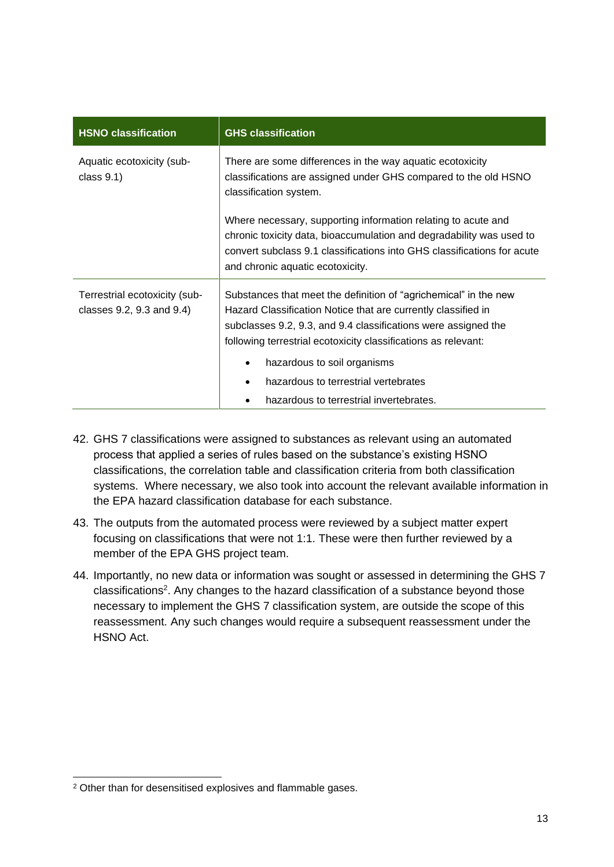| <b>HSNO classification</b>                                 | <b>GHS classification</b>                                                                                                                                                                                                                                             |  |
|------------------------------------------------------------|-----------------------------------------------------------------------------------------------------------------------------------------------------------------------------------------------------------------------------------------------------------------------|--|
| Aquatic ecotoxicity (sub-<br>class $9.1$ )                 | There are some differences in the way aquatic ecotoxicity<br>classifications are assigned under GHS compared to the old HSNO<br>classification system.                                                                                                                |  |
|                                                            | Where necessary, supporting information relating to acute and<br>chronic toxicity data, bioaccumulation and degradability was used to<br>convert subclass 9.1 classifications into GHS classifications for acute<br>and chronic aquatic ecotoxicity.                  |  |
| Terrestrial ecotoxicity (sub-<br>classes 9.2, 9.3 and 9.4) | Substances that meet the definition of "agrichemical" in the new<br>Hazard Classification Notice that are currently classified in<br>subclasses 9.2, 9.3, and 9.4 classifications were assigned the<br>following terrestrial ecotoxicity classifications as relevant: |  |
|                                                            | hazardous to soil organisms                                                                                                                                                                                                                                           |  |
|                                                            | hazardous to terrestrial vertebrates                                                                                                                                                                                                                                  |  |
|                                                            | hazardous to terrestrial invertebrates.                                                                                                                                                                                                                               |  |

- 42. GHS 7 classifications were assigned to substances as relevant using an automated process that applied a series of rules based on the substance's existing HSNO classifications, the correlation table and classification criteria from both classification systems. Where necessary, we also took into account the relevant available information in the EPA hazard classification database for each substance.
- 43. The outputs from the automated process were reviewed by a subject matter expert focusing on classifications that were not 1:1. These were then further reviewed by a member of the EPA GHS project team.
- <span id="page-12-0"></span>44. Importantly, no new data or information was sought or assessed in determining the GHS 7 classifications<sup>2</sup>. Any changes to the hazard classification of a substance beyond those necessary to implement the GHS 7 classification system, are outside the scope of this reassessment. Any such changes would require a subsequent reassessment under the HSNO Act.

<sup>2</sup> Other than for desensitised explosives and flammable gases.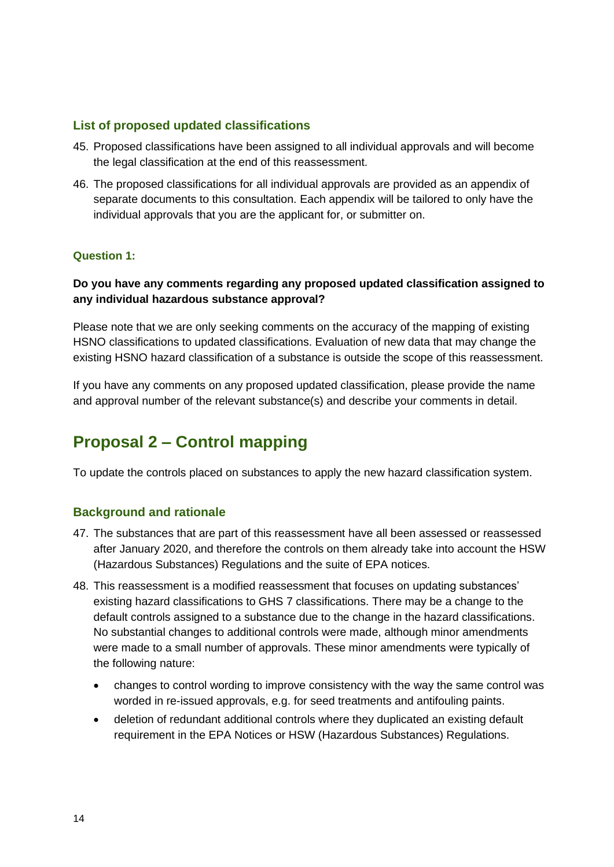#### **List of proposed updated classifications**

- 45. Proposed classifications have been assigned to all individual approvals and will become the legal classification at the end of this reassessment.
- 46. The proposed classifications for all individual approvals are provided as an appendix of separate documents to this consultation. Each appendix will be tailored to only have the individual approvals that you are the applicant for, or submitter on.

#### **Question 1:**

#### **Do you have any comments regarding any proposed updated classification assigned to any individual hazardous substance approval?**

Please note that we are only seeking comments on the accuracy of the mapping of existing HSNO classifications to updated classifications. Evaluation of new data that may change the existing HSNO hazard classification of a substance is outside the scope of this reassessment.

If you have any comments on any proposed updated classification, please provide the name and approval number of the relevant substance(s) and describe your comments in detail.

## <span id="page-13-0"></span>**Proposal 2 – Control mapping**

<span id="page-13-1"></span>To update the controls placed on substances to apply the new hazard classification system.

#### **Background and rationale**

- 47. The substances that are part of this reassessment have all been assessed or reassessed after January 2020, and therefore the controls on them already take into account the HSW (Hazardous Substances) Regulations and the suite of EPA notices.
- 48. This reassessment is a modified reassessment that focuses on updating substances' existing hazard classifications to GHS 7 classifications. There may be a change to the default controls assigned to a substance due to the change in the hazard classifications. No substantial changes to additional controls were made, although minor amendments were made to a small number of approvals. These minor amendments were typically of the following nature:
	- changes to control wording to improve consistency with the way the same control was worded in re-issued approvals, e.g. for seed treatments and antifouling paints.
	- deletion of redundant additional controls where they duplicated an existing default requirement in the EPA Notices or HSW (Hazardous Substances) Regulations.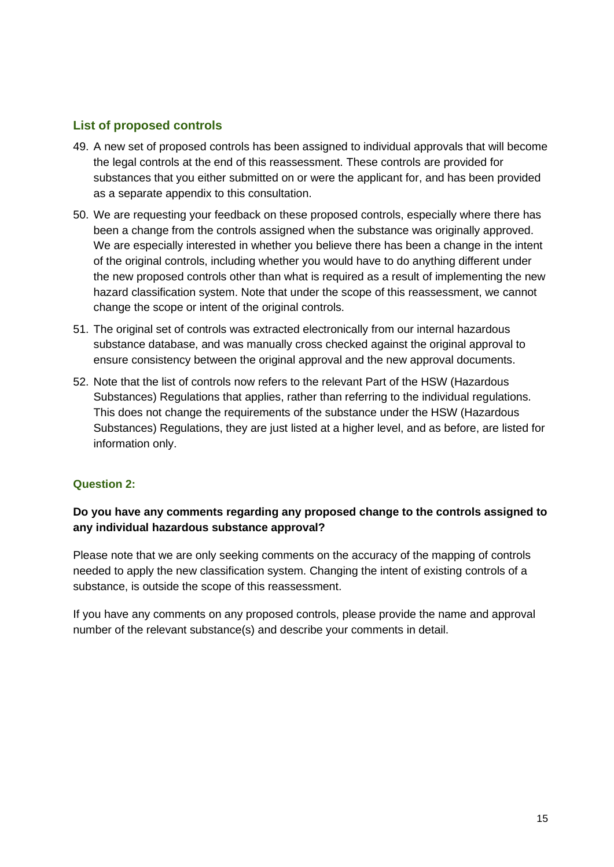#### <span id="page-14-0"></span>**List of proposed controls**

- 49. A new set of proposed controls has been assigned to individual approvals that will become the legal controls at the end of this reassessment. These controls are provided for substances that you either submitted on or were the applicant for, and has been provided as a separate appendix to this consultation.
- 50. We are requesting your feedback on these proposed controls, especially where there has been a change from the controls assigned when the substance was originally approved. We are especially interested in whether you believe there has been a change in the intent of the original controls, including whether you would have to do anything different under the new proposed controls other than what is required as a result of implementing the new hazard classification system. Note that under the scope of this reassessment, we cannot change the scope or intent of the original controls.
- 51. The original set of controls was extracted electronically from our internal hazardous substance database, and was manually cross checked against the original approval to ensure consistency between the original approval and the new approval documents.
- 52. Note that the list of controls now refers to the relevant Part of the HSW (Hazardous Substances) Regulations that applies, rather than referring to the individual regulations. This does not change the requirements of the substance under the HSW (Hazardous Substances) Regulations, they are just listed at a higher level, and as before, are listed for information only.

#### **Question 2:**

#### **Do you have any comments regarding any proposed change to the controls assigned to any individual hazardous substance approval?**

Please note that we are only seeking comments on the accuracy of the mapping of controls needed to apply the new classification system. Changing the intent of existing controls of a substance, is outside the scope of this reassessment.

If you have any comments on any proposed controls, please provide the name and approval number of the relevant substance(s) and describe your comments in detail.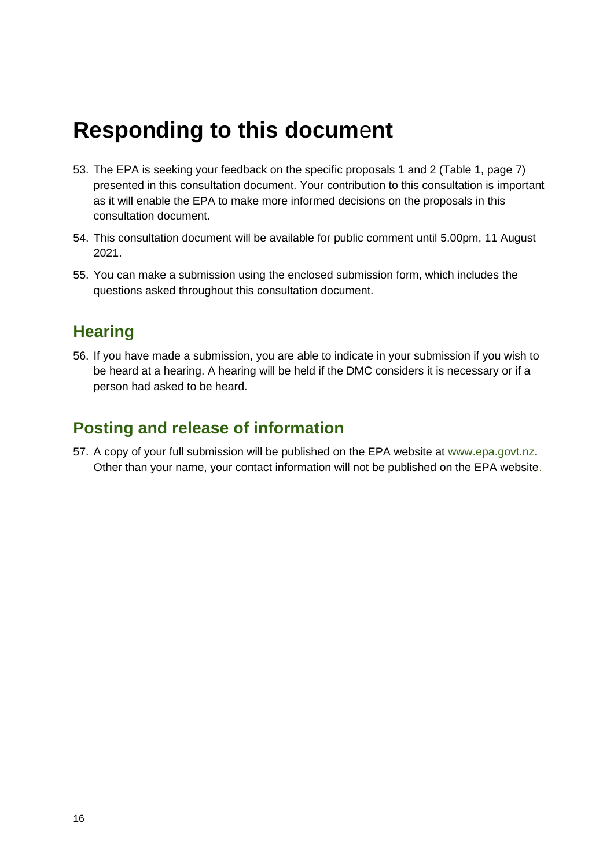## <span id="page-15-0"></span>**Responding to this docum**e**nt**

- 53. The EPA is seeking your feedback on the specific proposals 1 and 2 (Table 1, page 7) presented in this consultation document. Your contribution to this consultation is important as it will enable the EPA to make more informed decisions on the proposals in this consultation document.
- 54. This consultation document will be available for public comment until 5.00pm, 11 August 2021.
- 55. You can make a submission using the enclosed submission form, which includes the questions asked throughout this consultation document.

### <span id="page-15-1"></span>**Hearing**

56. If you have made a submission, you are able to indicate in your submission if you wish to be heard at a hearing. A hearing will be held if the DMC considers it is necessary or if a person had asked to be heard.

### <span id="page-15-2"></span>**Posting and release of information**

57. A copy of your full submission will be published on the EPA website at [www.epa.govt.nz](http://www.epa.govt.nz/). Other than your name, your contact information will not be published on the EPA website.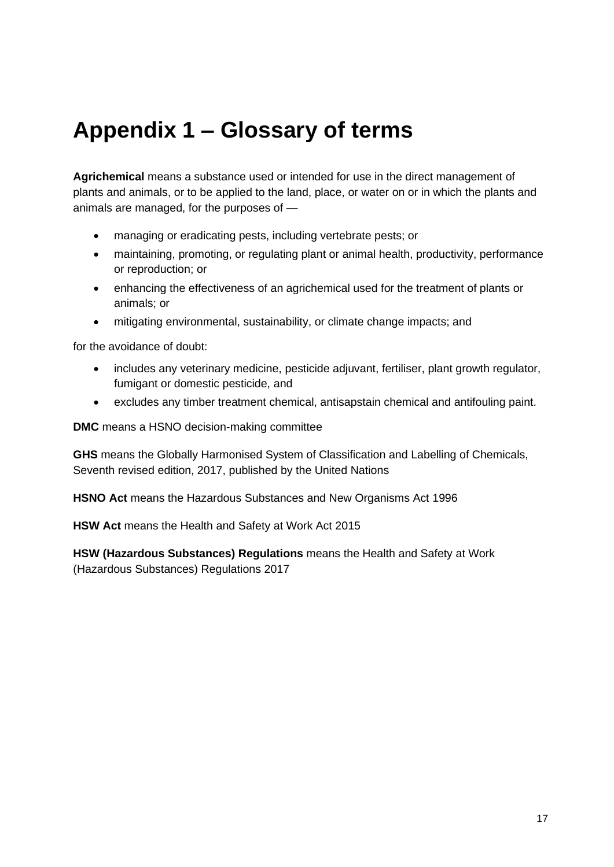## <span id="page-16-0"></span>**Appendix 1 – Glossary of terms**

**Agrichemical** means a substance used or intended for use in the direct management of plants and animals, or to be applied to the land, place, or water on or in which the plants and animals are managed, for the purposes of —

- managing or eradicating pests, including vertebrate pests; or
- maintaining, promoting, or regulating plant or animal health, productivity, performance or reproduction; or
- enhancing the effectiveness of an agrichemical used for the treatment of plants or animals; or
- mitigating environmental, sustainability, or climate change impacts; and

for the avoidance of doubt:

- includes any veterinary medicine, pesticide adjuvant, fertiliser, plant growth regulator, fumigant or domestic pesticide, and
- excludes any timber treatment chemical, antisapstain chemical and antifouling paint.

**DMC** means a HSNO decision-making committee

**GHS** means the Globally Harmonised System of Classification and Labelling of Chemicals, Seventh revised edition, 2017, published by the United Nations

**HSNO Act** means the Hazardous Substances and New Organisms Act 1996

**HSW Act** means the Health and Safety at Work Act 2015

**HSW (Hazardous Substances) Regulations** means the Health and Safety at Work (Hazardous Substances) Regulations 2017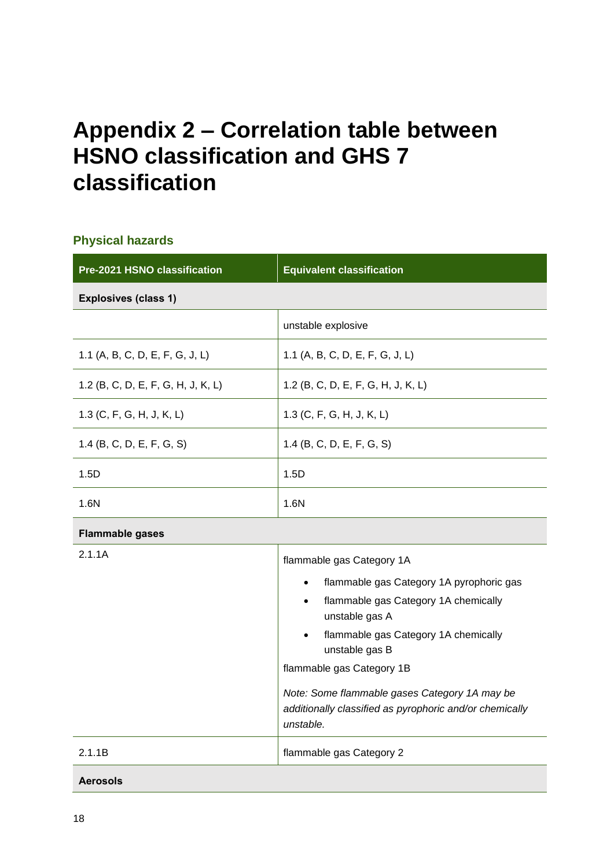## <span id="page-17-0"></span>**Appendix 2 – Correlation table between HSNO classification and GHS 7 classification**

#### **Physical hazards**

| Pre-2021 HSNO classification       | <b>Equivalent classification</b>                                                                                                                                                                                                                        |
|------------------------------------|---------------------------------------------------------------------------------------------------------------------------------------------------------------------------------------------------------------------------------------------------------|
| <b>Explosives (class 1)</b>        |                                                                                                                                                                                                                                                         |
|                                    | unstable explosive                                                                                                                                                                                                                                      |
| 1.1 (A, B, C, D, E, F, G, J, L)    | 1.1 (A, B, C, D, E, F, G, J, L)                                                                                                                                                                                                                         |
| 1.2 (B, C, D, E, F, G, H, J, K, L) | 1.2 (B, C, D, E, F, G, H, J, K, L)                                                                                                                                                                                                                      |
| 1.3 (C, F, G, H, J, K, L)          | 1.3 (C, F, G, H, J, K, L)                                                                                                                                                                                                                               |
| 1.4 (B, C, D, E, F, G, S)          | 1.4 (B, C, D, E, F, G, S)                                                                                                                                                                                                                               |
| 1.5D                               | 1.5D                                                                                                                                                                                                                                                    |
| 1.6N                               | 1.6N                                                                                                                                                                                                                                                    |
| <b>Flammable gases</b>             |                                                                                                                                                                                                                                                         |
| 2.1.1A                             | flammable gas Category 1A                                                                                                                                                                                                                               |
|                                    | flammable gas Category 1A pyrophoric gas<br>flammable gas Category 1A chemically<br>$\bullet$<br>unstable gas A<br>flammable gas Category 1A chemically<br>unstable gas B<br>flammable gas Category 1B<br>Note: Some flammable gases Category 1A may be |

|        | unstable.                  |
|--------|----------------------------|
| 2.1.1B | I flammable gas Category 2 |
|        |                            |

*additionally classified as pyrophoric and/or chemically* 

#### **Aerosols**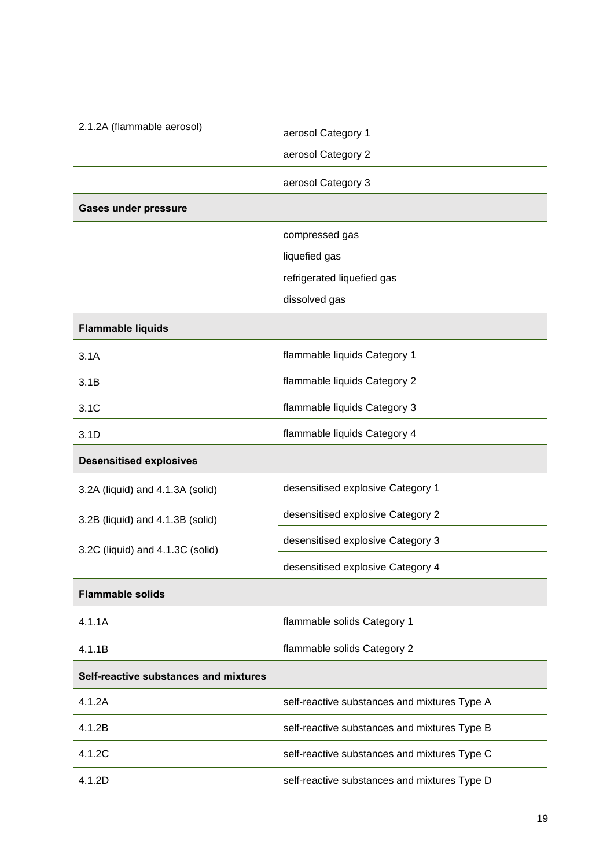| 2.1.2A (flammable aerosol)            | aerosol Category 1                           |  |
|---------------------------------------|----------------------------------------------|--|
|                                       | aerosol Category 2                           |  |
|                                       | aerosol Category 3                           |  |
| <b>Gases under pressure</b>           |                                              |  |
|                                       | compressed gas                               |  |
|                                       | liquefied gas                                |  |
|                                       | refrigerated liquefied gas                   |  |
|                                       | dissolved gas                                |  |
| <b>Flammable liquids</b>              |                                              |  |
| 3.1A                                  | flammable liquids Category 1                 |  |
| 3.1B                                  | flammable liquids Category 2                 |  |
| 3.1C                                  | flammable liquids Category 3                 |  |
| 3.1D                                  | flammable liquids Category 4                 |  |
| <b>Desensitised explosives</b>        |                                              |  |
| 3.2A (liquid) and 4.1.3A (solid)      | desensitised explosive Category 1            |  |
| 3.2B (liquid) and 4.1.3B (solid)      | desensitised explosive Category 2            |  |
| 3.2C (liquid) and 4.1.3C (solid)      | desensitised explosive Category 3            |  |
|                                       | desensitised explosive Category 4            |  |
| <b>Flammable solids</b>               |                                              |  |
| 4.1.1A                                | flammable solids Category 1                  |  |
| 4.1.1B                                | flammable solids Category 2                  |  |
| Self-reactive substances and mixtures |                                              |  |
| 4.1.2A                                | self-reactive substances and mixtures Type A |  |
| 4.1.2B                                | self-reactive substances and mixtures Type B |  |
| 4.1.2C                                | self-reactive substances and mixtures Type C |  |
| 4.1.2D                                | self-reactive substances and mixtures Type D |  |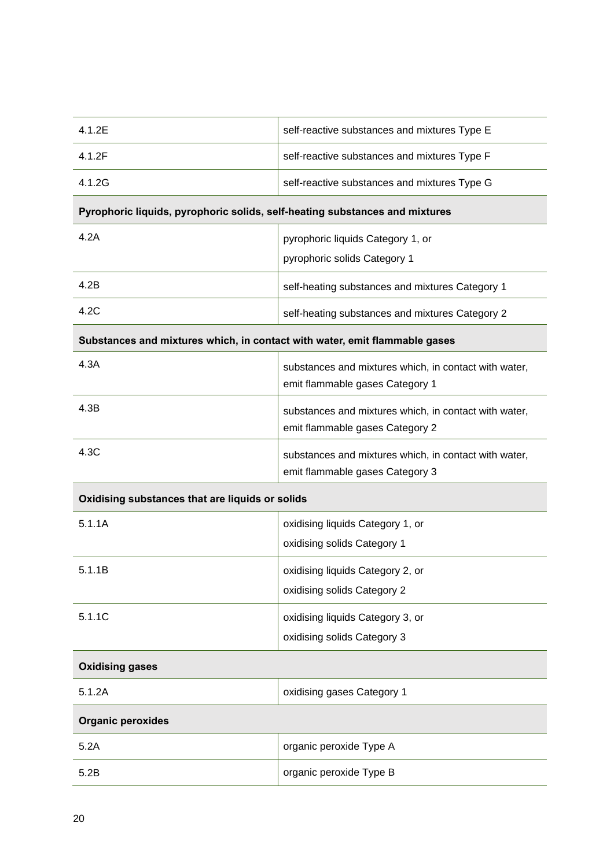| 4.1.2E                                                                      | self-reactive substances and mixtures Type E                                             |  |
|-----------------------------------------------------------------------------|------------------------------------------------------------------------------------------|--|
| 4.1.2F                                                                      | self-reactive substances and mixtures Type F                                             |  |
| 4.1.2G                                                                      | self-reactive substances and mixtures Type G                                             |  |
| Pyrophoric liquids, pyrophoric solids, self-heating substances and mixtures |                                                                                          |  |
| 4.2A                                                                        | pyrophoric liquids Category 1, or                                                        |  |
|                                                                             | pyrophoric solids Category 1                                                             |  |
| 4.2B                                                                        | self-heating substances and mixtures Category 1                                          |  |
| 4.2C                                                                        | self-heating substances and mixtures Category 2                                          |  |
| Substances and mixtures which, in contact with water, emit flammable gases  |                                                                                          |  |
| 4.3A                                                                        | substances and mixtures which, in contact with water,<br>emit flammable gases Category 1 |  |
| 4.3B                                                                        | substances and mixtures which, in contact with water,<br>emit flammable gases Category 2 |  |
| 4.3C                                                                        | substances and mixtures which, in contact with water,<br>emit flammable gases Category 3 |  |
| Oxidising substances that are liquids or solids                             |                                                                                          |  |
| 5.1.1A                                                                      | oxidising liquids Category 1, or                                                         |  |
|                                                                             | oxidising solids Category 1                                                              |  |
| 5.1.1B                                                                      | oxidising liquids Category 2, or                                                         |  |
|                                                                             | oxidising solids Category 2                                                              |  |
| 5.1.1C                                                                      | oxidising liquids Category 3, or                                                         |  |
|                                                                             | oxidising solids Category 3                                                              |  |
| <b>Oxidising gases</b>                                                      |                                                                                          |  |
| 5.1.2A                                                                      | oxidising gases Category 1                                                               |  |
| <b>Organic peroxides</b>                                                    |                                                                                          |  |
| 5.2A                                                                        | organic peroxide Type A                                                                  |  |
| 5.2B                                                                        | organic peroxide Type B                                                                  |  |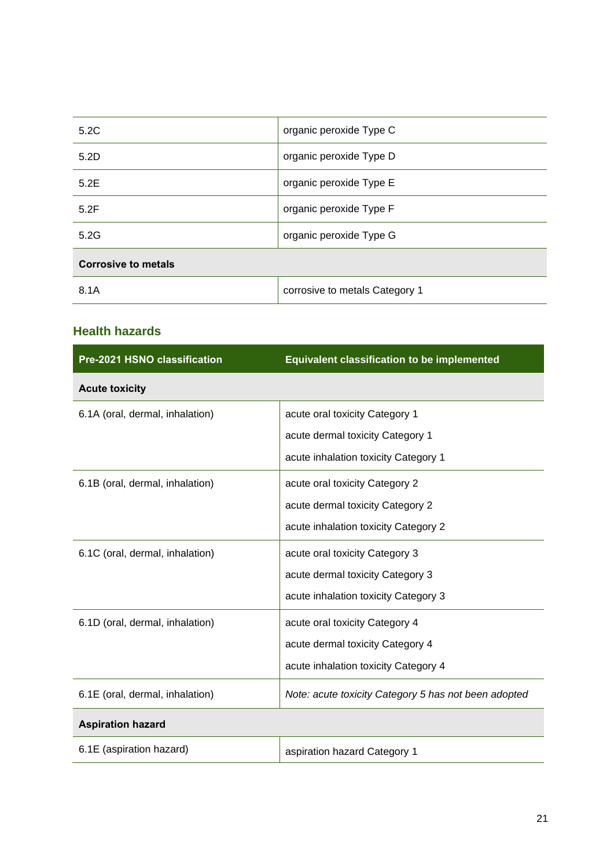| 5.2C                       | organic peroxide Type C        |
|----------------------------|--------------------------------|
| 5.2D                       | organic peroxide Type D        |
| 5.2E                       | organic peroxide Type E        |
| 5.2F                       | organic peroxide Type F        |
| 5.2G                       | organic peroxide Type G        |
| <b>Corrosive to metals</b> |                                |
| 8.1A                       | corrosive to metals Category 1 |

#### **Health hazards**

| Pre-2021 HSNO classification    | <b>Equivalent classification to be implemented</b>   |
|---------------------------------|------------------------------------------------------|
| <b>Acute toxicity</b>           |                                                      |
| 6.1A (oral, dermal, inhalation) | acute oral toxicity Category 1                       |
|                                 | acute dermal toxicity Category 1                     |
|                                 | acute inhalation toxicity Category 1                 |
| 6.1B (oral, dermal, inhalation) | acute oral toxicity Category 2                       |
|                                 | acute dermal toxicity Category 2                     |
|                                 | acute inhalation toxicity Category 2                 |
| 6.1C (oral, dermal, inhalation) | acute oral toxicity Category 3                       |
|                                 | acute dermal toxicity Category 3                     |
|                                 | acute inhalation toxicity Category 3                 |
| 6.1D (oral, dermal, inhalation) | acute oral toxicity Category 4                       |
|                                 | acute dermal toxicity Category 4                     |
|                                 | acute inhalation toxicity Category 4                 |
| 6.1E (oral, dermal, inhalation) | Note: acute toxicity Category 5 has not been adopted |
| <b>Aspiration hazard</b>        |                                                      |
| 6.1E (aspiration hazard)        | aspiration hazard Category 1                         |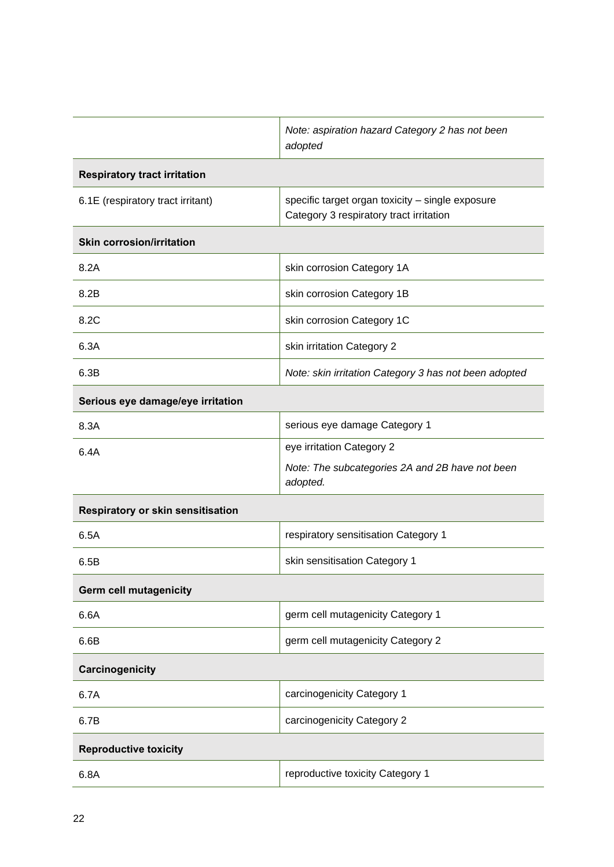|                                     | Note: aspiration hazard Category 2 has not been<br>adopted                                  |  |
|-------------------------------------|---------------------------------------------------------------------------------------------|--|
| <b>Respiratory tract irritation</b> |                                                                                             |  |
| 6.1E (respiratory tract irritant)   | specific target organ toxicity - single exposure<br>Category 3 respiratory tract irritation |  |
| <b>Skin corrosion/irritation</b>    |                                                                                             |  |
| 8.2A                                | skin corrosion Category 1A                                                                  |  |
| 8.2B                                | skin corrosion Category 1B                                                                  |  |
| 8.2C                                | skin corrosion Category 1C                                                                  |  |
| 6.3A                                | skin irritation Category 2                                                                  |  |
| 6.3B                                | Note: skin irritation Category 3 has not been adopted                                       |  |
| Serious eye damage/eye irritation   |                                                                                             |  |
| 8.3A                                | serious eye damage Category 1                                                               |  |
| 6.4A                                | eye irritation Category 2                                                                   |  |
|                                     | Note: The subcategories 2A and 2B have not been<br>adopted.                                 |  |
| Respiratory or skin sensitisation   |                                                                                             |  |
| 6.5A                                | respiratory sensitisation Category 1                                                        |  |
| 6.5B                                | skin sensitisation Category 1                                                               |  |
| <b>Germ cell mutagenicity</b>       |                                                                                             |  |
| 6.6A                                | germ cell mutagenicity Category 1                                                           |  |
| 6.6B                                | germ cell mutagenicity Category 2                                                           |  |
| Carcinogenicity                     |                                                                                             |  |
| 6.7A                                | carcinogenicity Category 1                                                                  |  |
| 6.7B                                | carcinogenicity Category 2                                                                  |  |
| <b>Reproductive toxicity</b>        |                                                                                             |  |
| 6.8A                                | reproductive toxicity Category 1                                                            |  |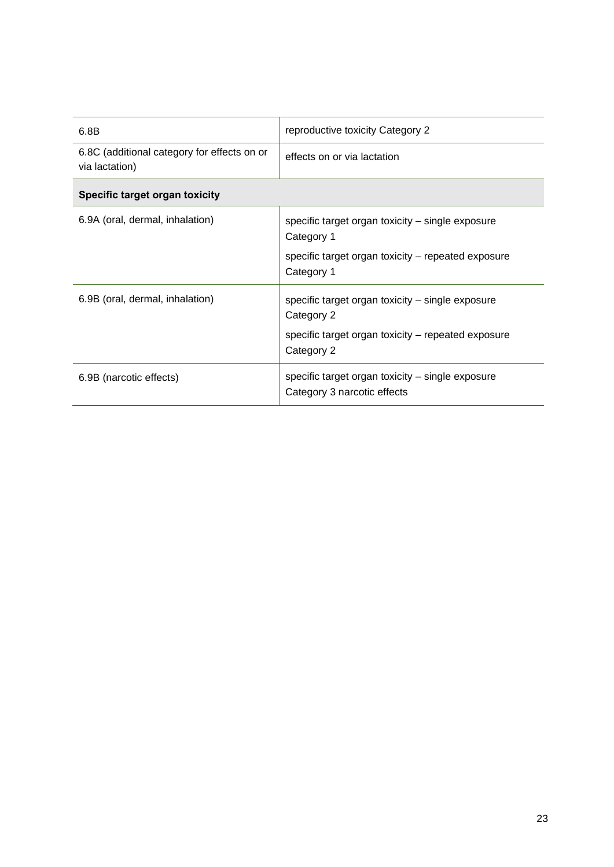| 6.8B                                                          | reproductive toxicity Category 2                                                                                                   |  |
|---------------------------------------------------------------|------------------------------------------------------------------------------------------------------------------------------------|--|
| 6.8C (additional category for effects on or<br>via lactation) | effects on or via lactation                                                                                                        |  |
| Specific target organ toxicity                                |                                                                                                                                    |  |
| 6.9A (oral, dermal, inhalation)                               | specific target organ toxicity – single exposure<br>Category 1<br>specific target organ toxicity - repeated exposure<br>Category 1 |  |
| 6.9B (oral, dermal, inhalation)                               | specific target organ toxicity - single exposure<br>Category 2<br>specific target organ toxicity - repeated exposure<br>Category 2 |  |
| 6.9B (narcotic effects)                                       | specific target organ toxicity – single exposure<br>Category 3 narcotic effects                                                    |  |